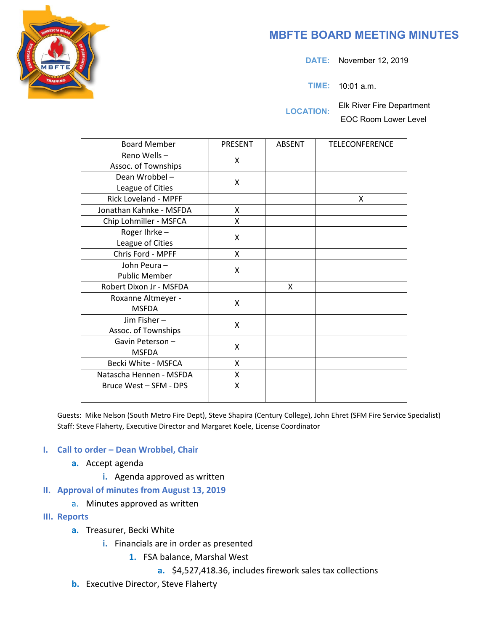# **MBFTE BOARD MEETING MINUTES**

**DATE:** November 12, 2019

**TIME:** 10:01 a.m.

**LOCATION:** Elk River Fire Department EOC Room Lower Level

| <b>Board Member</b>     | PRESENT | <b>ABSENT</b> | <b>TELECONFERENCE</b> |
|-------------------------|---------|---------------|-----------------------|
| Reno Wells-             | X       |               |                       |
| Assoc. of Townships     |         |               |                       |
| Dean Wrobbel-           | X       |               |                       |
| League of Cities        |         |               |                       |
| Rick Loveland - MPFF    |         |               | X                     |
| Jonathan Kahnke - MSFDA | X       |               |                       |
| Chip Lohmiller - MSFCA  | X       |               |                       |
| Roger Ihrke-            | X       |               |                       |
| League of Cities        |         |               |                       |
| Chris Ford - MPFF       | Χ       |               |                       |
| John Peura-             | X       |               |                       |
| <b>Public Member</b>    |         |               |                       |
| Robert Dixon Jr - MSFDA |         | X             |                       |
| Roxanne Altmeyer -      | X       |               |                       |
| <b>MSFDA</b>            |         |               |                       |
| Jim Fisher-             | X       |               |                       |
| Assoc. of Townships     |         |               |                       |
| Gavin Peterson-         | X       |               |                       |
| <b>MSFDA</b>            |         |               |                       |
| Becki White - MSFCA     | X       |               |                       |
| Natascha Hennen - MSFDA | X       |               |                       |
| Bruce West - SFM - DPS  | Χ       |               |                       |
|                         |         |               |                       |

Guests: Mike Nelson (South Metro Fire Dept), Steve Shapira (Century College), John Ehret (SFM Fire Service Specialist) Staff: Steve Flaherty, Executive Director and Margaret Koele, License Coordinator

### **I. Call to order – Dean Wrobbel, Chair**

- **a.** Accept agenda
	- **i.** Agenda approved as written
- **II. Approval of minutes from August 13, 2019** 
	- a. Minutes approved as written
- **III. Reports**
	- **a.** Treasurer, Becki White
		- **i.** Financials are in order as presented
			- **1.** FSA balance, Marshal West
				- **a.** \$4,527,418.36, includes firework sales tax collections
	- **b.** Executive Director, Steve Flaherty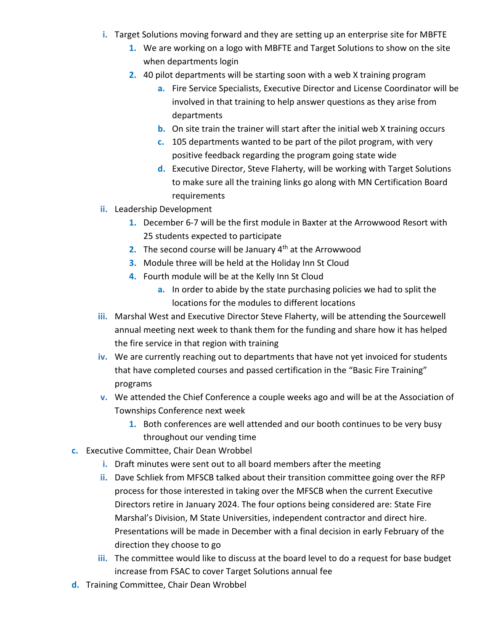- **i.** Target Solutions moving forward and they are setting up an enterprise site for MBFTE
	- **1.** We are working on a logo with MBFTE and Target Solutions to show on the site when departments login
	- **2.** 40 pilot departments will be starting soon with a web X training program
		- **a.** Fire Service Specialists, Executive Director and License Coordinator will be involved in that training to help answer questions as they arise from departments
		- **b.** On site train the trainer will start after the initial web X training occurs
		- **c.** 105 departments wanted to be part of the pilot program, with very positive feedback regarding the program going state wide
		- **d.** Executive Director, Steve Flaherty, will be working with Target Solutions to make sure all the training links go along with MN Certification Board requirements
- **ii.** Leadership Development
	- **1.** December 6-7 will be the first module in Baxter at the Arrowwood Resort with 25 students expected to participate
	- **2.** The second course will be January 4<sup>th</sup> at the Arrowwood
	- **3.** Module three will be held at the Holiday Inn St Cloud
	- **4.** Fourth module will be at the Kelly Inn St Cloud
		- **a.** In order to abide by the state purchasing policies we had to split the locations for the modules to different locations
- **iii.** Marshal West and Executive Director Steve Flaherty, will be attending the Sourcewell annual meeting next week to thank them for the funding and share how it has helped the fire service in that region with training
- **iv.** We are currently reaching out to departments that have not yet invoiced for students that have completed courses and passed certification in the "Basic Fire Training" programs
- **v.** We attended the Chief Conference a couple weeks ago and will be at the Association of Townships Conference next week
	- **1.** Both conferences are well attended and our booth continues to be very busy throughout our vending time
- **c.** Executive Committee, Chair Dean Wrobbel
	- **i.** Draft minutes were sent out to all board members after the meeting
	- **ii.** Dave Schliek from MFSCB talked about their transition committee going over the RFP process for those interested in taking over the MFSCB when the current Executive Directors retire in January 2024. The four options being considered are: State Fire Marshal's Division, M State Universities, independent contractor and direct hire. Presentations will be made in December with a final decision in early February of the direction they choose to go
	- **iii.** The committee would like to discuss at the board level to do a request for base budget increase from FSAC to cover Target Solutions annual fee
- **d.** Training Committee, Chair Dean Wrobbel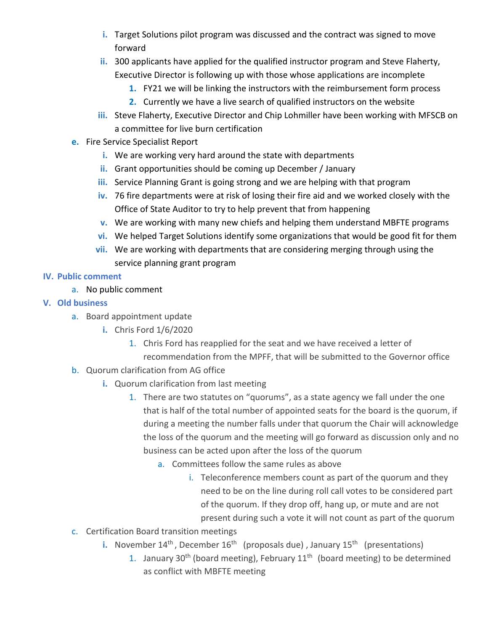- **i.** Target Solutions pilot program was discussed and the contract was signed to move forward
- **ii.** 300 applicants have applied for the qualified instructor program and Steve Flaherty, Executive Director is following up with those whose applications are incomplete
	- **1.** FY21 we will be linking the instructors with the reimbursement form process
	- **2.** Currently we have a live search of qualified instructors on the website
- **iii.** Steve Flaherty, Executive Director and Chip Lohmiller have been working with MFSCB on a committee for live burn certification
- **e.** Fire Service Specialist Report
	- **i.** We are working very hard around the state with departments
	- **ii.** Grant opportunities should be coming up December / January
	- **iii.** Service Planning Grant is going strong and we are helping with that program
	- **iv.** 76 fire departments were at risk of losing their fire aid and we worked closely with the Office of State Auditor to try to help prevent that from happening
	- **v.** We are working with many new chiefs and helping them understand MBFTE programs
	- **vi.** We helped Target Solutions identify some organizations that would be good fit for them
	- **vii.** We are working with departments that are considering merging through using the service planning grant program

## **IV. Public comment**

- a. No public comment
- **V. Old business**
	- a. Board appointment update
		- **i.** Chris Ford 1/6/2020
			- 1. Chris Ford has reapplied for the seat and we have received a letter of recommendation from the MPFF, that will be submitted to the Governor office
	- b. Quorum clarification from AG office
		- **i.** Quorum clarification from last meeting
			- 1. There are two statutes on "quorums", as a state agency we fall under the one that is half of the total number of appointed seats for the board is the quorum, if during a meeting the number falls under that quorum the Chair will acknowledge the loss of the quorum and the meeting will go forward as discussion only and no business can be acted upon after the loss of the quorum
				- a. Committees follow the same rules as above
					- i. Teleconference members count as part of the quorum and they need to be on the line during roll call votes to be considered part of the quorum. If they drop off, hang up, or mute and are not present during such a vote it will not count as part of the quorum
	- c. Certification Board transition meetings
		- **i.** November 14<sup>th</sup>, December 16<sup>th</sup> (proposals due), January 15<sup>th</sup> (presentations)
			- 1. January 30<sup>th</sup> (board meeting), February  $11<sup>th</sup>$  (board meeting) to be determined as conflict with MBFTE meeting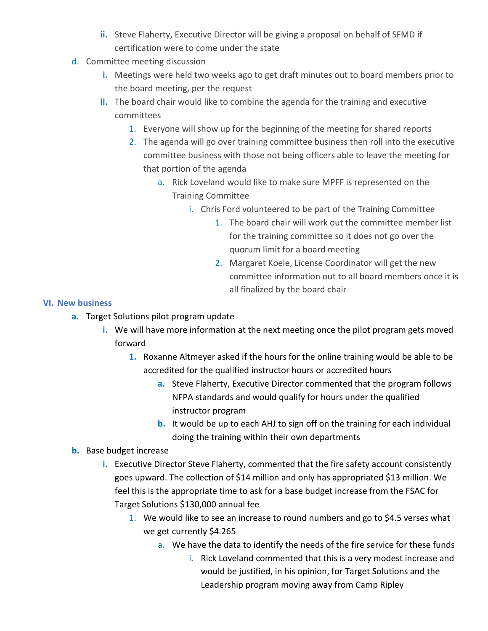- **ii.** Steve Flaherty, Executive Director will be giving a proposal on behalf of SFMD if certification were to come under the state
- d. Committee meeting discussion
	- **i.** Meetings were held two weeks ago to get draft minutes out to board members prior to the board meeting, per the request
	- **ii.** The board chair would like to combine the agenda for the training and executive committees
		- 1. Everyone will show up for the beginning of the meeting for shared reports
		- 2. The agenda will go over training committee business then roll into the executive committee business with those not being officers able to leave the meeting for that portion of the agenda
			- a. Rick Loveland would like to make sure MPFF is represented on the Training Committee
				- i. Chris Ford volunteered to be part of the Training Committee
					- 1. The board chair will work out the committee member list for the training committee so it does not go over the quorum limit for a board meeting
					- 2. Margaret Koele, License Coordinator will get the new committee information out to all board members once it is all finalized by the board chair

### **VI. New business**

- **a.** Target Solutions pilot program update
	- **i.** We will have more information at the next meeting once the pilot program gets moved forward
		- **1.** Roxanne Altmeyer asked if the hours for the online training would be able to be accredited for the qualified instructor hours or accredited hours
			- **a.** Steve Flaherty, Executive Director commented that the program follows NFPA standards and would qualify for hours under the qualified instructor program
			- **b.** It would be up to each AHJ to sign off on the training for each individual doing the training within their own departments

## **b.** Base budget increase

- **i.** Executive Director Steve Flaherty, commented that the fire safety account consistently goes upward. The collection of \$14 million and only has appropriated \$13 million. We feel this is the appropriate time to ask for a base budget increase from the FSAC for Target Solutions \$130,000 annual fee
	- 1. We would like to see an increase to round numbers and go to \$4.5 verses what we get currently \$4.265
		- a. We have the data to identify the needs of the fire service for these funds
			- i. Rick Loveland commented that this is a very modest increase and would be justified, in his opinion, for Target Solutions and the Leadership program moving away from Camp Ripley